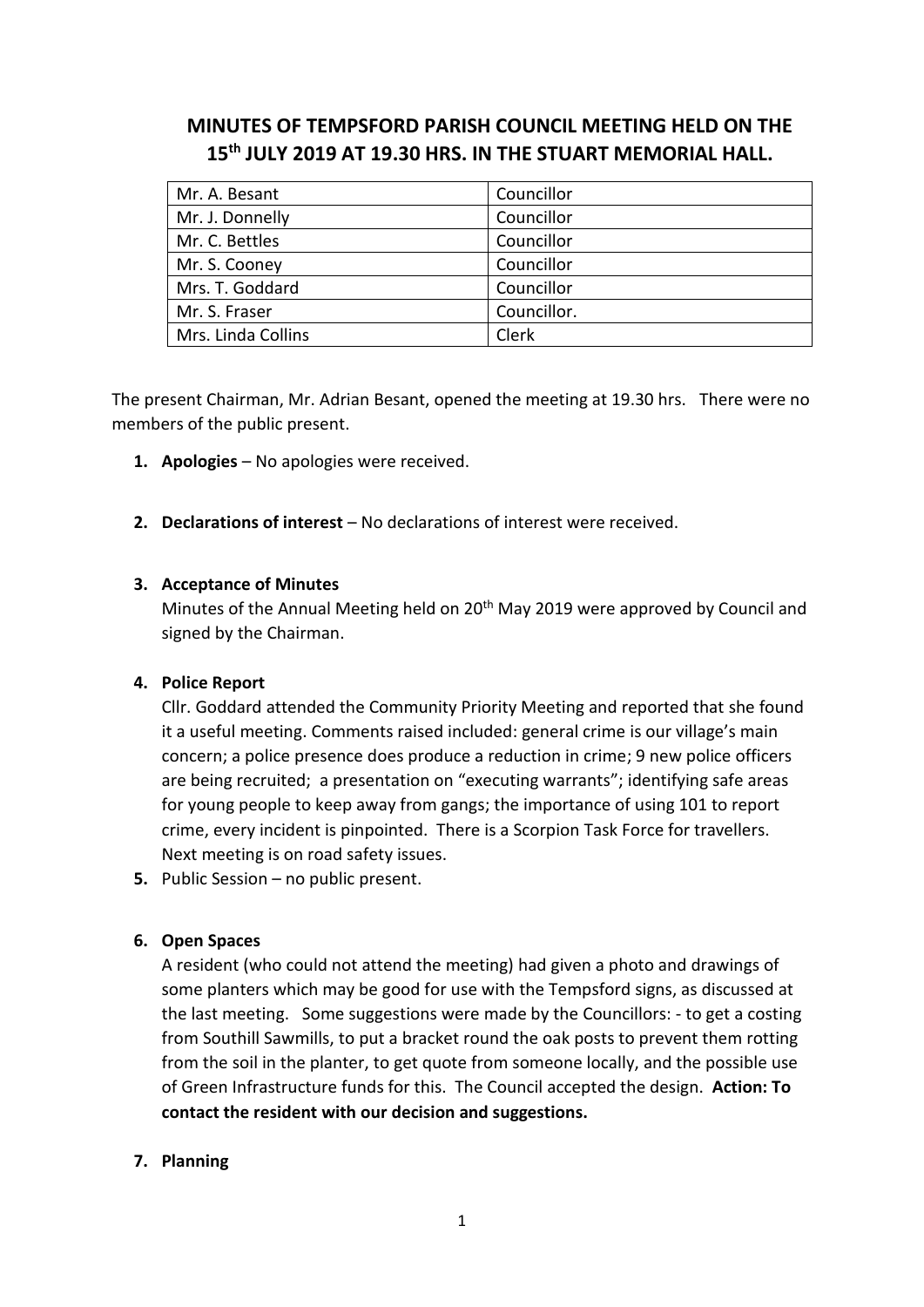# **MINUTES OF TEMPSFORD PARISH COUNCIL MEETING HELD ON THE 15th JULY 2019 AT 19.30 HRS. IN THE STUART MEMORIAL HALL.**

| Mr. A. Besant      | Councillor  |
|--------------------|-------------|
| Mr. J. Donnelly    | Councillor  |
| Mr. C. Bettles     | Councillor  |
| Mr. S. Cooney      | Councillor  |
| Mrs. T. Goddard    | Councillor  |
| Mr. S. Fraser      | Councillor. |
| Mrs. Linda Collins | Clerk       |

The present Chairman, Mr. Adrian Besant, opened the meeting at 19.30 hrs. There were no members of the public present.

- **1. Apologies** No apologies were received.
- **2. Declarations of interest** No declarations of interest were received.

#### **3. Acceptance of Minutes**

Minutes of the Annual Meeting held on 20<sup>th</sup> May 2019 were approved by Council and signed by the Chairman.

#### **4. Police Report**

Cllr. Goddard attended the Community Priority Meeting and reported that she found it a useful meeting. Comments raised included: general crime is our village's main concern; a police presence does produce a reduction in crime; 9 new police officers are being recruited; a presentation on "executing warrants"; identifying safe areas for young people to keep away from gangs; the importance of using 101 to report crime, every incident is pinpointed. There is a Scorpion Task Force for travellers. Next meeting is on road safety issues.

**5.** Public Session – no public present.

#### **6. Open Spaces**

A resident (who could not attend the meeting) had given a photo and drawings of some planters which may be good for use with the Tempsford signs, as discussed at the last meeting. Some suggestions were made by the Councillors: - to get a costing from Southill Sawmills, to put a bracket round the oak posts to prevent them rotting from the soil in the planter, to get quote from someone locally, and the possible use of Green Infrastructure funds for this. The Council accepted the design. **Action: To contact the resident with our decision and suggestions.**

## **7. Planning**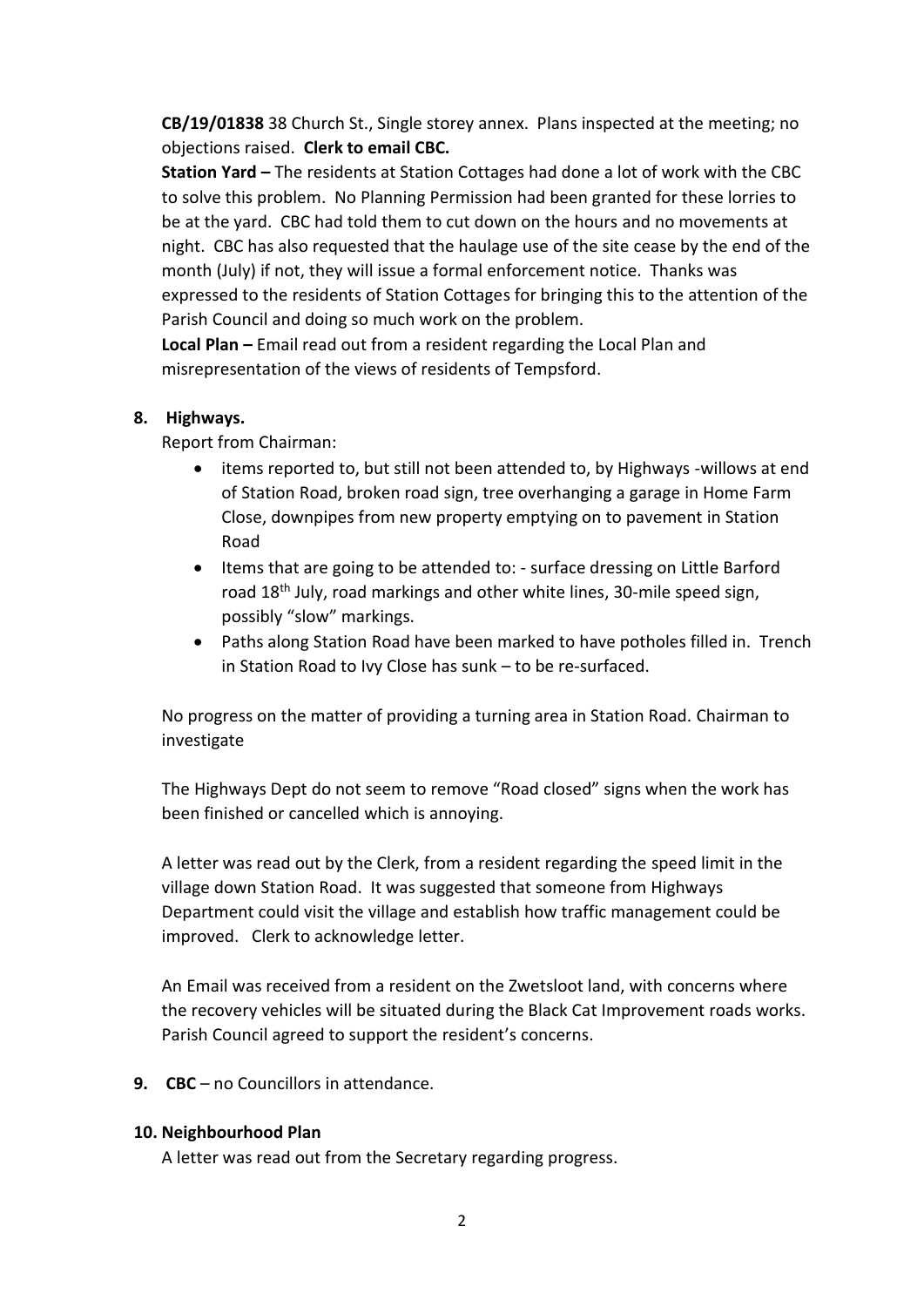**CB/19/01838** 38 Church St., Single storey annex. Plans inspected at the meeting; no objections raised. **Clerk to email CBC.** 

**Station Yard –** The residents at Station Cottages had done a lot of work with the CBC to solve this problem. No Planning Permission had been granted for these lorries to be at the yard. CBC had told them to cut down on the hours and no movements at night. CBC has also requested that the haulage use of the site cease by the end of the month (July) if not, they will issue a formal enforcement notice. Thanks was expressed to the residents of Station Cottages for bringing this to the attention of the Parish Council and doing so much work on the problem.

**Local Plan –** Email read out from a resident regarding the Local Plan and misrepresentation of the views of residents of Tempsford.

## **8. Highways.**

Report from Chairman:

- items reported to, but still not been attended to, by Highways -willows at end of Station Road, broken road sign, tree overhanging a garage in Home Farm Close, downpipes from new property emptying on to pavement in Station Road
- Items that are going to be attended to: surface dressing on Little Barford road 18<sup>th</sup> July, road markings and other white lines, 30-mile speed sign, possibly "slow" markings.
- Paths along Station Road have been marked to have potholes filled in. Trench in Station Road to Ivy Close has sunk – to be re-surfaced.

No progress on the matter of providing a turning area in Station Road. Chairman to investigate

The Highways Dept do not seem to remove "Road closed" signs when the work has been finished or cancelled which is annoying.

A letter was read out by the Clerk, from a resident regarding the speed limit in the village down Station Road. It was suggested that someone from Highways Department could visit the village and establish how traffic management could be improved. Clerk to acknowledge letter.

An Email was received from a resident on the Zwetsloot land, with concerns where the recovery vehicles will be situated during the Black Cat Improvement roads works. Parish Council agreed to support the resident's concerns.

**9. CBC** – no Councillors in attendance.

## **10. Neighbourhood Plan**

A letter was read out from the Secretary regarding progress.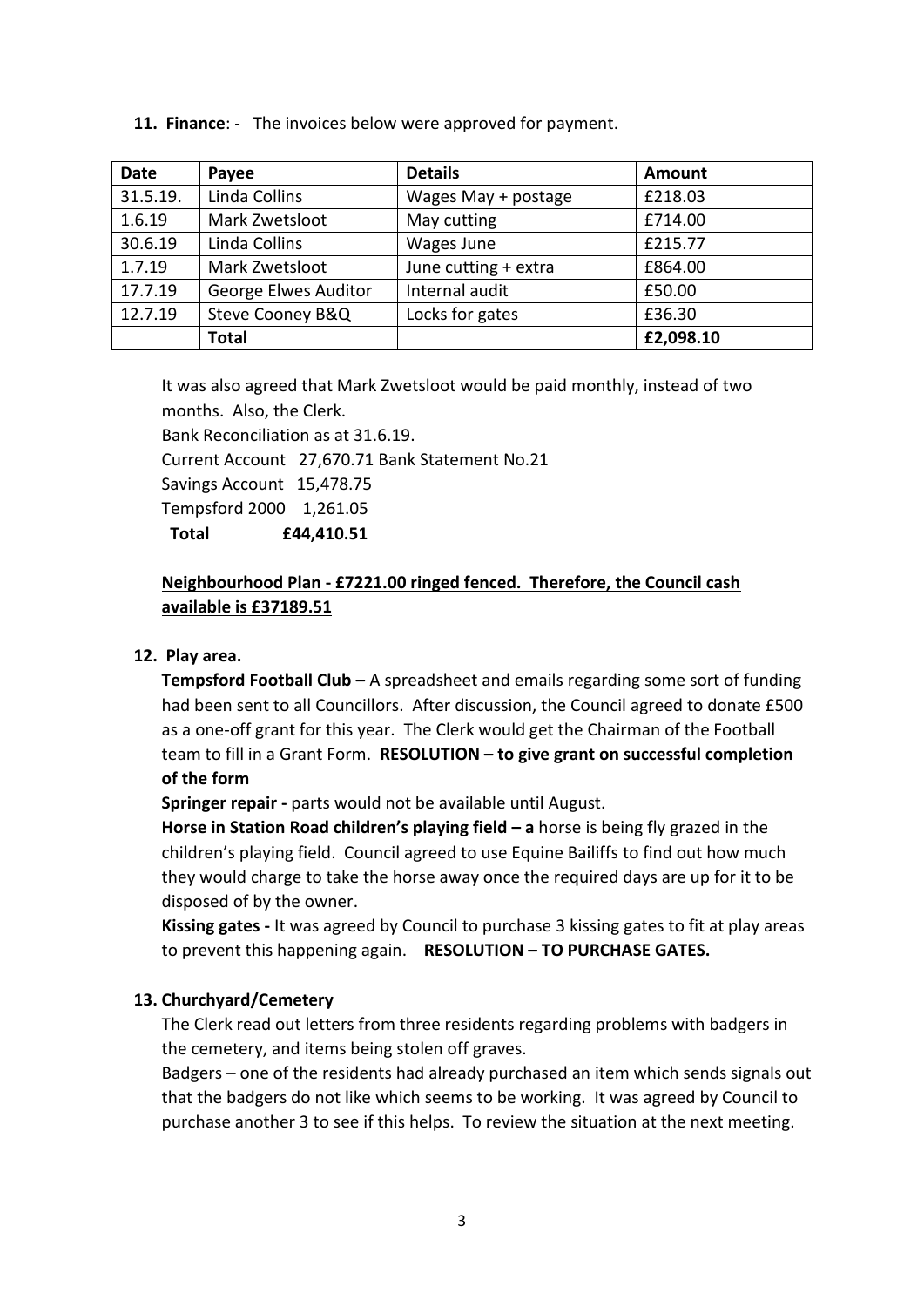**11. Finance**: - The invoices below were approved for payment.

| <b>Date</b> | Payee                | <b>Details</b>       | <b>Amount</b> |
|-------------|----------------------|----------------------|---------------|
| 31.5.19.    | Linda Collins        | Wages May + postage  | £218.03       |
| 1.6.19      | Mark Zwetsloot       | May cutting          | £714.00       |
| 30.6.19     | Linda Collins        | Wages June           | £215.77       |
| 1.7.19      | Mark Zwetsloot       | June cutting + extra | £864.00       |
| 17.7.19     | George Elwes Auditor | Internal audit       | £50.00        |
| 12.7.19     | Steve Cooney B&Q     | Locks for gates      | £36.30        |
|             | <b>Total</b>         |                      | £2,098.10     |

It was also agreed that Mark Zwetsloot would be paid monthly, instead of two months. Also, the Clerk.

Bank Reconciliation as at 31.6.19.

Current Account 27,670.71 Bank Statement No.21

Savings Account 15,478.75

Tempsford 2000 1,261.05

 **Total £44,410.51**

## **Neighbourhood Plan - £7221.00 ringed fenced. Therefore, the Council cash available is £37189.51**

## **12. Play area.**

**Tempsford Football Club –** A spreadsheet and emails regarding some sort of funding had been sent to all Councillors. After discussion, the Council agreed to donate £500 as a one-off grant for this year. The Clerk would get the Chairman of the Football team to fill in a Grant Form. **RESOLUTION – to give grant on successful completion of the form**

**Springer repair -** parts would not be available until August.

**Horse in Station Road children's playing field – a** horse is being fly grazed in the children's playing field. Council agreed to use Equine Bailiffs to find out how much they would charge to take the horse away once the required days are up for it to be disposed of by the owner.

**Kissing gates -** It was agreed by Council to purchase 3 kissing gates to fit at play areas to prevent this happening again. **RESOLUTION – TO PURCHASE GATES.**

## **13. Churchyard/Cemetery**

The Clerk read out letters from three residents regarding problems with badgers in the cemetery, and items being stolen off graves.

Badgers – one of the residents had already purchased an item which sends signals out that the badgers do not like which seems to be working. It was agreed by Council to purchase another 3 to see if this helps. To review the situation at the next meeting.